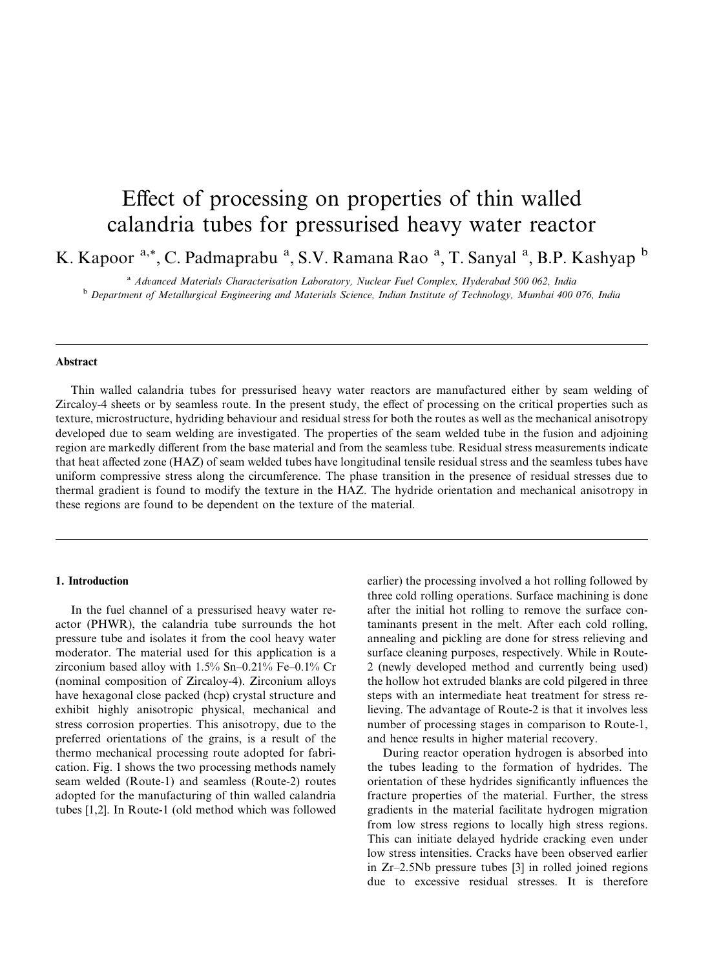# Effect of processing on properties of thin walled calandria tubes for pressurised heavy water reactor

K. Kapoor <sup>a,\*</sup>, C. Padmaprabu <sup>a</sup>, S.V. Ramana Rao <sup>a</sup>, T. Sanyal <sup>a</sup>, B.P. Kashyap <sup>b</sup>

<sup>a</sup> Advanced Materials Characterisation Laboratory, Nuclear Fuel Complex, Hyderabad 500 062, India <sup>b</sup> Department of Metallurgical Engineering and Materials Science, Indian Institute of Technology, Mumbai 400 076, India

## Abstract

Thin walled calandria tubes for pressurised heavy water reactors are manufactured either by seam welding of Zircaloy-4 sheets or by seamless route. In the present study, the effect of processing on the critical properties such as texture, microstructure, hydriding behaviour and residual stress for both the routes as well as the mechanical anisotropy developed due to seam welding are investigated. The properties of the seam welded tube in the fusion and adjoining region are markedly different from the base material and from the seamless tube. Residual stress measurements indicate that heat affected zone (HAZ) of seam welded tubes have longitudinal tensile residual stress and the seamless tubes have uniform compressive stress along the circumference. The phase transition in the presence of residual stresses due to thermal gradient is found to modify the texture in the HAZ. The hydride orientation and mechanical anisotropy in these regions are found to be dependent on the texture of the material.

#### 1. Introduction

In the fuel channel of a pressurised heavy water reactor (PHWR), the calandria tube surrounds the hot pressure tube and isolates it from the cool heavy water moderator. The material used for this application is a zirconium based alloy with 1.5% Sn–0.21% Fe–0.1% Cr (nominal composition of Zircaloy-4). Zirconium alloys have hexagonal close packed (hcp) crystal structure and exhibit highly anisotropic physical, mechanical and stress corrosion properties. This anisotropy, due to the preferred orientations of the grains, is a result of the thermo mechanical processing route adopted for fabrication. Fig. 1 shows the two processing methods namely seam welded (Route-1) and seamless (Route-2) routes adopted for the manufacturing of thin walled calandria tubes [1,2]. In Route-1 (old method which was followed

earlier) the processing involved a hot rolling followed by three cold rolling operations. Surface machining is done after the initial hot rolling to remove the surface contaminants present in the melt. After each cold rolling, annealing and pickling are done for stress relieving and surface cleaning purposes, respectively. While in Route-2 (newly developed method and currently being used) the hollow hot extruded blanks are cold pilgered in three steps with an intermediate heat treatment for stress relieving. The advantage of Route-2 is that it involves less number of processing stages in comparison to Route-1, and hence results in higher material recovery.

During reactor operation hydrogen is absorbed into the tubes leading to the formation of hydrides. The orientation of these hydrides significantly influences the fracture properties of the material. Further, the stress gradients in the material facilitate hydrogen migration from low stress regions to locally high stress regions. This can initiate delayed hydride cracking even under low stress intensities. Cracks have been observed earlier in Zr–2.5Nb pressure tubes [3] in rolled joined regions due to excessive residual stresses. It is therefore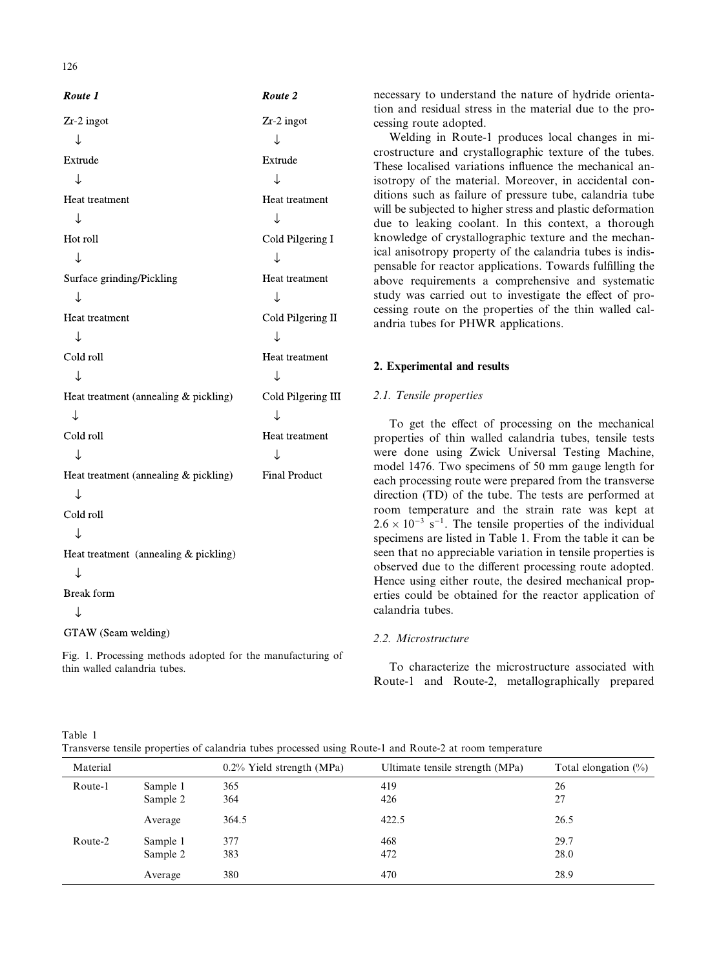| Route 1                               | Route 2              |
|---------------------------------------|----------------------|
| Zr-2 ingot                            | Zr-2 ingot           |
| ↓                                     | ↓                    |
| Extrude                               | Extrude              |
| ↓                                     | T                    |
| Heat treatment                        | Heat treatment       |
| ↓                                     | ↓                    |
| Hot roll                              | Cold Pilgering I     |
| ↓                                     | ↓                    |
| Surface grinding/Pickling             | Heat treatment       |
| ↓                                     | ↓                    |
| Heat treatment                        | Cold Pilgering II    |
| ↓                                     | ↓                    |
| Cold roll                             | Heat treatment       |
| ↓                                     | ↓                    |
| Heat treatment (annealing & pickling) | Cold Pilgering III   |
| ↓                                     | ↓                    |
| Cold roll                             | Heat treatment       |
| ↓                                     | ↓                    |
| Heat treatment (annealing & pickling) | <b>Final Product</b> |
| ↓                                     |                      |
| Cold roll                             |                      |
| J                                     |                      |
| Heat treatment (annealing & pickling) |                      |
| ↓                                     |                      |
| <b>Break</b> form                     |                      |
| ↓                                     |                      |
| GTAW (Seam welding)                   |                      |
|                                       |                      |

Fig. 1. Processing methods adopted for the manufacturing of thin walled calandria tubes.

necessary to understand the nature of hydride orientation and residual stress in the material due to the processing route adopted.

Welding in Route-1 produces local changes in microstructure and crystallographic texture of the tubes. These localised variations influence the mechanical anisotropy of the material. Moreover, in accidental conditions such as failure of pressure tube, calandria tube will be subjected to higher stress and plastic deformation due to leaking coolant. In this context, a thorough knowledge of crystallographic texture and the mechanical anisotropy property of the calandria tubes is indispensable for reactor applications. Towards fulfilling the above requirements a comprehensive and systematic study was carried out to investigate the effect of processing route on the properties of the thin walled calandria tubes for PHWR applications.

# 2. Experimental and results

# 2.1. Tensile properties

To get the effect of processing on the mechanical properties of thin walled calandria tubes, tensile tests were done using Zwick Universal Testing Machine, model 1476. Two specimens of 50 mm gauge length for each processing route were prepared from the transverse direction (TD) of the tube. The tests are performed at room temperature and the strain rate was kept at  $2.6 \times 10^{-3}$  s<sup>-1</sup>. The tensile properties of the individual specimens are listed in Table 1. From the table it can be seen that no appreciable variation in tensile properties is observed due to the different processing route adopted. Hence using either route, the desired mechanical properties could be obtained for the reactor application of calandria tubes.

# 2.2. Microstructure

To characterize the microstructure associated with Route-1 and Route-2, metallographically prepared

Table 1

Transverse tensile properties of calandria tubes processed using Route-1 and Route-2 at room temperature

| Material |                      | $0.2\%$ Yield strength (MPa) | Ultimate tensile strength (MPa) | Total elongation $(\%)$ |
|----------|----------------------|------------------------------|---------------------------------|-------------------------|
| Route-1  | Sample 1<br>Sample 2 | 365<br>364                   | 419<br>426                      | 26<br>27                |
|          | Average              | 364.5                        | 422.5                           | 26.5                    |
| Route-2  | Sample 1<br>Sample 2 | 377<br>383                   | 468<br>472                      | 29.7<br>28.0            |
|          | Average              | 380                          | 470                             | 28.9                    |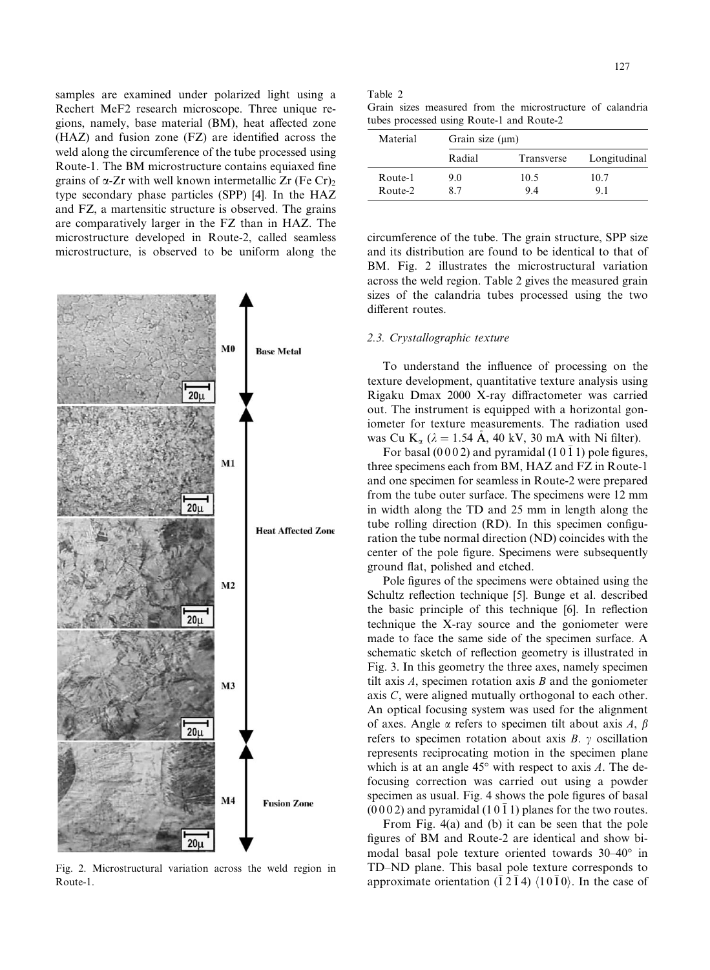samples are examined under polarized light using a Rechert MeF2 research microscope. Three unique regions, namely, base material (BM), heat affected zone (HAZ) and fusion zone (FZ) are identified across the weld along the circumference of the tube processed using Route-1. The BM microstructure contains equiaxed fine grains of  $\alpha$ -Zr with well known intermetallic Zr (Fe Cr)<sub>2</sub> type secondary phase particles (SPP) [4]. In the HAZ and FZ, a martensitic structure is observed. The grains are comparatively larger in the FZ than in HAZ. The microstructure developed in Route-2, called seamless microstructure, is observed to be uniform along the



Fig. 2. Microstructural variation across the weld region in Route-1.

Table 2

|  |  | Grain sizes measured from the microstructure of calandria |  |
|--|--|-----------------------------------------------------------|--|
|  |  | tubes processed using Route-1 and Route-2                 |  |

| Material | Grain size $(\mu m)$ |            |              |  |
|----------|----------------------|------------|--------------|--|
|          | Radial               | Transverse | Longitudinal |  |
| Route-1  | 90                   | 10.5       | 10.7         |  |
| Route-2  | 87                   | 94         | 91           |  |

circumference of the tube. The grain structure, SPP size and its distribution are found to be identical to that of BM. Fig. 2 illustrates the microstructural variation across the weld region. Table 2 gives the measured grain sizes of the calandria tubes processed using the two different routes.

## 2.3. Crystallographic texture

To understand the influence of processing on the texture development, quantitative texture analysis using Rigaku Dmax 2000 X-ray diffractometer was carried out. The instrument is equipped with a horizontal goniometer for texture measurements. The radiation used was Cu K<sub>a</sub> ( $\lambda = 1.54$  Å, 40 kV, 30 mA with Ni filter).

For basal (0002) and pyramidal (10 $\bar{1}$ 1) pole figures, three specimens each from BM, HAZ and FZ in Route-1 and one specimen for seamless in Route-2 were prepared from the tube outer surface. The specimens were 12 mm in width along the TD and 25 mm in length along the tube rolling direction (RD). In this specimen configuration the tube normal direction (ND) coincides with the center of the pole figure. Specimens were subsequently ground flat, polished and etched.

Pole figures of the specimens were obtained using the Schultz reflection technique [5]. Bunge et al. described the basic principle of this technique [6]. In reflection technique the X-ray source and the goniometer were made to face the same side of the specimen surface. A schematic sketch of reflection geometry is illustrated in Fig. 3. In this geometry the three axes, namely specimen tilt axis  $A$ , specimen rotation axis  $B$  and the goniometer axis C, were aligned mutually orthogonal to each other. An optical focusing system was used for the alignment of axes. Angle  $\alpha$  refers to specimen tilt about axis A,  $\beta$ refers to specimen rotation about axis  $B$ .  $\gamma$  oscillation represents reciprocating motion in the specimen plane which is at an angle  $45^{\circ}$  with respect to axis A. The defocusing correction was carried out using a powder specimen as usual. Fig. 4 shows the pole figures of basal  $(0002)$  and pyramidal  $(1011)$  planes for the two routes.

From Fig. 4(a) and (b) it can be seen that the pole figures of BM and Route-2 are identical and show bimodal basal pole texture oriented towards 30–40° in TD–ND plane. This basal pole texture corresponds to approximate orientation ( $\overline{1}$  2 $\overline{1}$  4)  $\langle 10\overline{1}0 \rangle$ . In the case of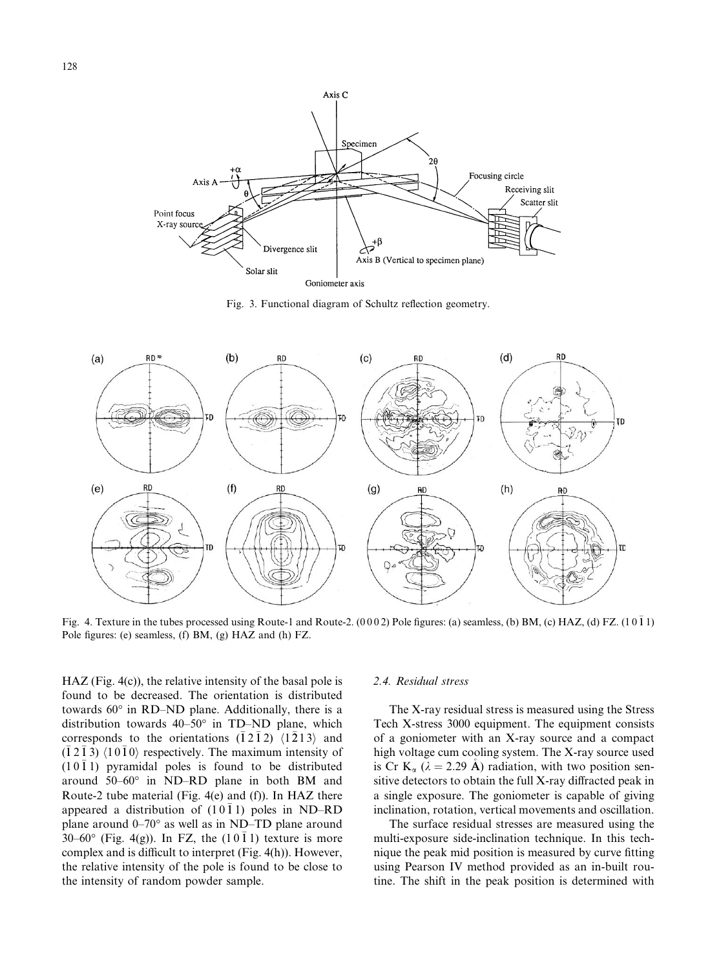

Fig. 3. Functional diagram of Schultz reflection geometry.



Fig. 4. Texture in the tubes processed using Route-1 and Route-2.  $(0002)$  Pole figures: (a) seamless, (b) BM, (c) HAZ, (d) FZ.  $(10\bar{1}1)$ Pole figures: (e) seamless, (f) BM, (g) HAZ and (h) FZ.

HAZ (Fig. 4(c)), the relative intensity of the basal pole is found to be decreased. The orientation is distributed towards 60° in RD–ND plane. Additionally, there is a distribution towards  $40-50^{\circ}$  in TD-ND plane, which corresponds to the orientations  $(\bar{1} \, 2 \, \bar{1} \, 2)$   $\langle 1 \, \bar{2} \, 1 \, 3 \rangle$  and  $(1\,2\,1\,3)$   $\langle 1\,0\,1\,0 \rangle$  respectively. The maximum intensity of  $(1011)$  pyramidal poles is found to be distributed around  $50-60^\circ$  in ND–RD plane in both BM and Route-2 tube material (Fig. 4(e) and (f)). In HAZ there appeared a distribution of  $(10\bar{1}1)$  poles in ND-RD plane around  $0-70^{\circ}$  as well as in ND–TD plane around  $30-60^{\circ}$  (Fig. 4(g)). In FZ, the  $(10\bar{1}1)$  texture is more complex and is difficult to interpret (Fig. 4(h)). However, the relative intensity of the pole is found to be close to the intensity of random powder sample.

#### 2.4. Residual stress

The X-ray residual stress is measured using the Stress Tech X-stress 3000 equipment. The equipment consists of a goniometer with an X-ray source and a compact high voltage cum cooling system. The X-ray source used is Cr K<sub>a</sub> ( $\lambda = 2.29$  Å) radiation, with two position sensitive detectors to obtain the full X-ray diffracted peak in a single exposure. The goniometer is capable of giving inclination, rotation, vertical movements and oscillation.

The surface residual stresses are measured using the multi-exposure side-inclination technique. In this technique the peak mid position is measured by curve fitting using Pearson IV method provided as an in-built routine. The shift in the peak position is determined with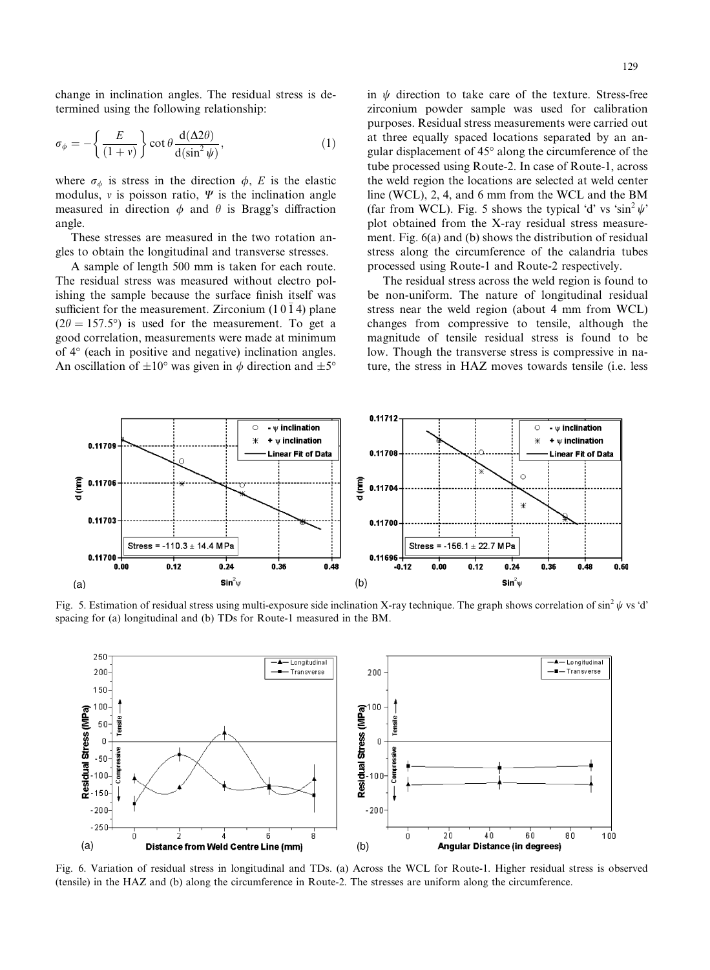change in inclination angles. The residual stress is determined using the following relationship:

$$
\sigma_{\phi} = -\left\{ \frac{E}{(1+v)} \right\} \cot \theta \frac{d(\Delta 2\theta)}{d(\sin^2 \psi)},
$$
\n(1)

where  $\sigma_{\phi}$  is stress in the direction  $\phi$ , E is the elastic modulus,  $\nu$  is poisson ratio,  $\Psi$  is the inclination angle measured in direction  $\phi$  and  $\theta$  is Bragg's diffraction angle.

These stresses are measured in the two rotation angles to obtain the longitudinal and transverse stresses.

A sample of length 500 mm is taken for each route. The residual stress was measured without electro polishing the sample because the surface finish itself was sufficient for the measurement. Zirconium  $(10\bar{1}4)$  plane  $(2\theta = 157.5^{\circ})$  is used for the measurement. To get a good correlation, measurements were made at minimum of  $4^{\circ}$  (each in positive and negative) inclination angles. An oscillation of  $\pm 10^{\circ}$  was given in  $\phi$  direction and  $\pm 5^{\circ}$  in  $\psi$  direction to take care of the texture. Stress-free zirconium powder sample was used for calibration purposes. Residual stress measurements were carried out at three equally spaced locations separated by an angular displacement of 45° along the circumference of the tube processed using Route-2. In case of Route-1, across the weld region the locations are selected at weld center line (WCL), 2, 4, and 6 mm from the WCL and the BM (far from WCL). Fig. 5 shows the typical 'd' vs 'sin<sup>2</sup>  $\psi$ ' plot obtained from the X-ray residual stress measurement. Fig. 6(a) and (b) shows the distribution of residual stress along the circumference of the calandria tubes processed using Route-1 and Route-2 respectively.

The residual stress across the weld region is found to be non-uniform. The nature of longitudinal residual stress near the weld region (about 4 mm from WCL) changes from compressive to tensile, although the magnitude of tensile residual stress is found to be low. Though the transverse stress is compressive in nature, the stress in HAZ moves towards tensile (i.e. less



Fig. 5. Estimation of residual stress using multi-exposure side inclination X-ray technique. The graph shows correlation of sin<sup>2</sup>  $\psi$  vs 'd' spacing for (a) longitudinal and (b) TDs for Route-1 measured in the BM.



Fig. 6. Variation of residual stress in longitudinal and TDs. (a) Across the WCL for Route-1. Higher residual stress is observed (tensile) in the HAZ and (b) along the circumference in Route-2. The stresses are uniform along the circumference.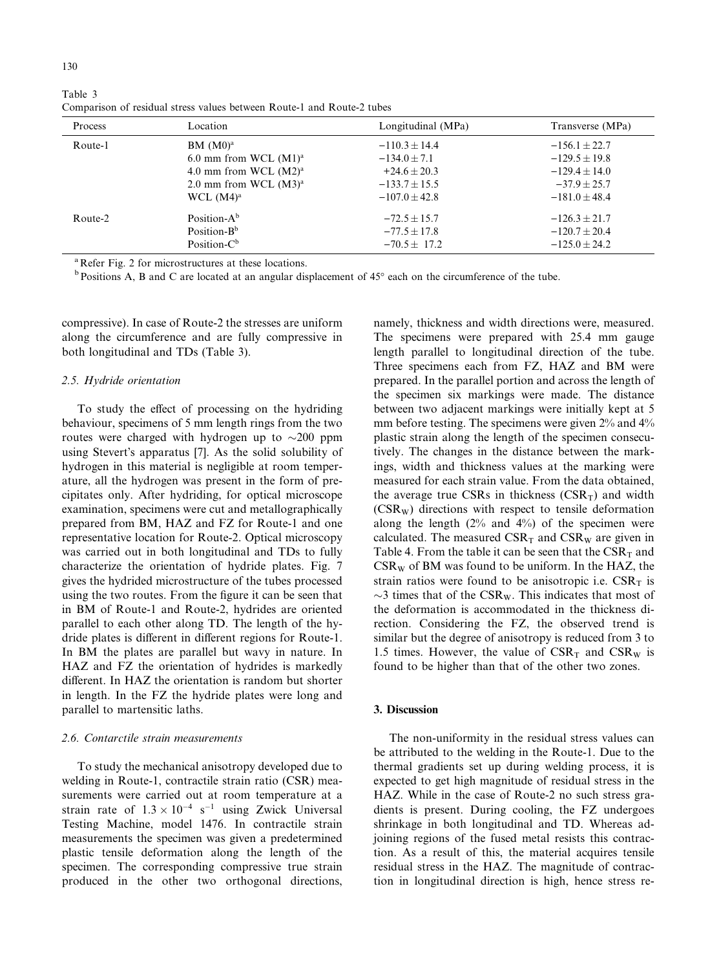| Process | Location                 | Longitudinal (MPa) | Transverse (MPa)  |
|---------|--------------------------|--------------------|-------------------|
| Route-1 | BM (M0) <sup>a</sup>     | $-110.3 \pm 14.4$  | $-156.1 \pm 22.7$ |
|         | 6.0 mm from WCL $(M1)^a$ | $-134.0 \pm 7.1$   | $-129.5 \pm 19.8$ |
|         | 4.0 mm from WCL $(M2)^a$ | $+24.6 \pm 20.3$   | $-129.4 \pm 14.0$ |
|         | 2.0 mm from WCL $(M3)^a$ | $-133.7 \pm 15.5$  | $-37.9 \pm 25.7$  |
|         | WCL $(M4)^a$             | $-107.0 + 42.8$    | $-181.0 + 48.4$   |
| Route-2 | Position- $A^b$          | $-72.5 \pm 15.7$   | $-126.3 \pm 21.7$ |
|         | Position- $B^b$          | $-77.5 \pm 17.8$   | $-120.7 \pm 20.4$ |
|         | Position- $C^b$          | $-70.5 + 17.2$     | $-125.0 + 24.2$   |

Comparison of residual stress values between Route-1 and Route-2 tubes

<sup>a</sup> Refer Fig. 2 for microstructures at these locations.

<sup>b</sup> Positions A, B and C are located at an angular displacement of 45° each on the circumference of the tube.

compressive). In case of Route-2 the stresses are uniform along the circumference and are fully compressive in both longitudinal and TDs (Table 3).

## 2.5. Hydride orientation

To study the effect of processing on the hydriding behaviour, specimens of 5 mm length rings from the two routes were charged with hydrogen up to  $\sim$ 200 ppm using Stevert's apparatus [7]. As the solid solubility of hydrogen in this material is negligible at room temperature, all the hydrogen was present in the form of precipitates only. After hydriding, for optical microscope examination, specimens were cut and metallographically prepared from BM, HAZ and FZ for Route-1 and one representative location for Route-2. Optical microscopy was carried out in both longitudinal and TDs to fully characterize the orientation of hydride plates. Fig. 7 gives the hydrided microstructure of the tubes processed using the two routes. From the figure it can be seen that in BM of Route-1 and Route-2, hydrides are oriented parallel to each other along TD. The length of the hydride plates is different in different regions for Route-1. In BM the plates are parallel but wavy in nature. In HAZ and FZ the orientation of hydrides is markedly different. In HAZ the orientation is random but shorter in length. In the FZ the hydride plates were long and parallel to martensitic laths.

#### 2.6. Contarctile strain measurements

To study the mechanical anisotropy developed due to welding in Route-1, contractile strain ratio (CSR) measurements were carried out at room temperature at a strain rate of  $1.3 \times 10^{-4}$  s<sup>-1</sup> using Zwick Universal Testing Machine, model 1476. In contractile strain measurements the specimen was given a predetermined plastic tensile deformation along the length of the specimen. The corresponding compressive true strain produced in the other two orthogonal directions, namely, thickness and width directions were, measured. The specimens were prepared with 25.4 mm gauge length parallel to longitudinal direction of the tube. Three specimens each from FZ, HAZ and BM were prepared. In the parallel portion and across the length of the specimen six markings were made. The distance between two adjacent markings were initially kept at 5 mm before testing. The specimens were given 2% and 4% plastic strain along the length of the specimen consecutively. The changes in the distance between the markings, width and thickness values at the marking were measured for each strain value. From the data obtained, the average true CSRs in thickness  $(CSR_T)$  and width  $(CSR_W)$  directions with respect to tensile deformation along the length  $(2\%$  and  $4\%)$  of the specimen were calculated. The measured  $CSR_{T}$  and  $CSR_{W}$  are given in Table 4. From the table it can be seen that the  $CSR_{T}$  and  $CSR_W$  of BM was found to be uniform. In the HAZ, the strain ratios were found to be anisotropic i.e.  $CSR_T$  is  $\sim$ 3 times that of the CSR<sub>W</sub>. This indicates that most of the deformation is accommodated in the thickness direction. Considering the FZ, the observed trend is similar but the degree of anisotropy is reduced from 3 to 1.5 times. However, the value of  $CSR_{T}$  and  $CSR_{W}$  is found to be higher than that of the other two zones.

## 3. Discussion

The non-uniformity in the residual stress values can be attributed to the welding in the Route-1. Due to the thermal gradients set up during welding process, it is expected to get high magnitude of residual stress in the HAZ. While in the case of Route-2 no such stress gradients is present. During cooling, the FZ undergoes shrinkage in both longitudinal and TD. Whereas adjoining regions of the fused metal resists this contraction. As a result of this, the material acquires tensile residual stress in the HAZ. The magnitude of contraction in longitudinal direction is high, hence stress re-

Table 3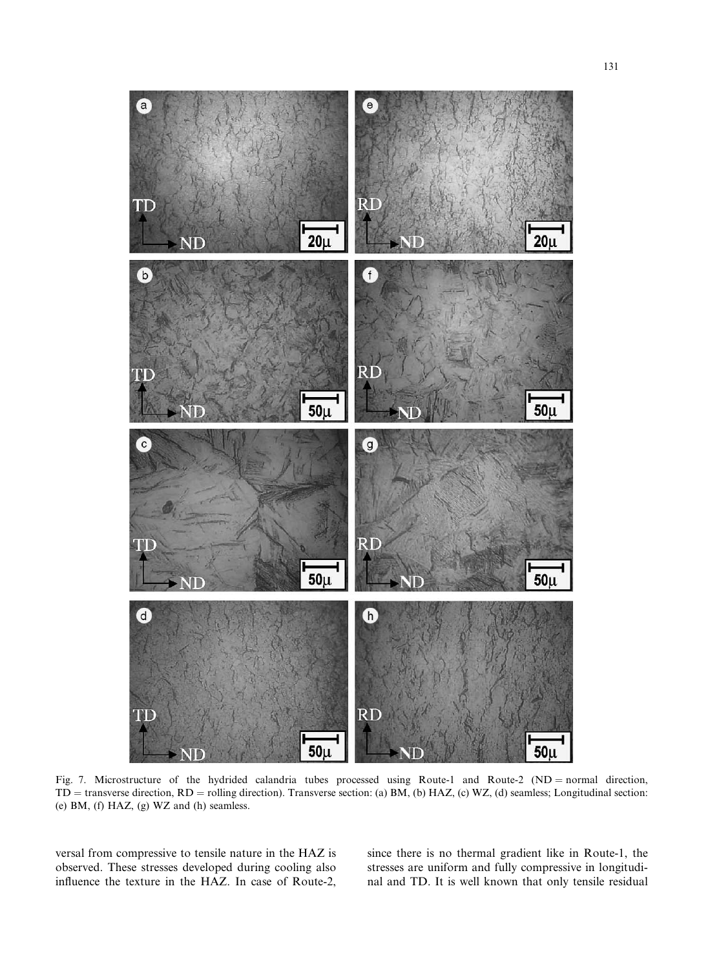

Fig. 7. Microstructure of the hydrided calandria tubes processed using Route-1 and Route-2 (ND = normal direction,  $TD =$  transverse direction,  $RD =$  rolling direction). Transverse section: (a) BM, (b) HAZ, (c) WZ, (d) seamless; Longitudinal section: (e) BM, (f) HAZ, (g) WZ and (h) seamless.

versal from compressive to tensile nature in the HAZ is observed. These stresses developed during cooling also influence the texture in the HAZ. In case of Route-2, since there is no thermal gradient like in Route-1, the stresses are uniform and fully compressive in longitudinal and TD. It is well known that only tensile residual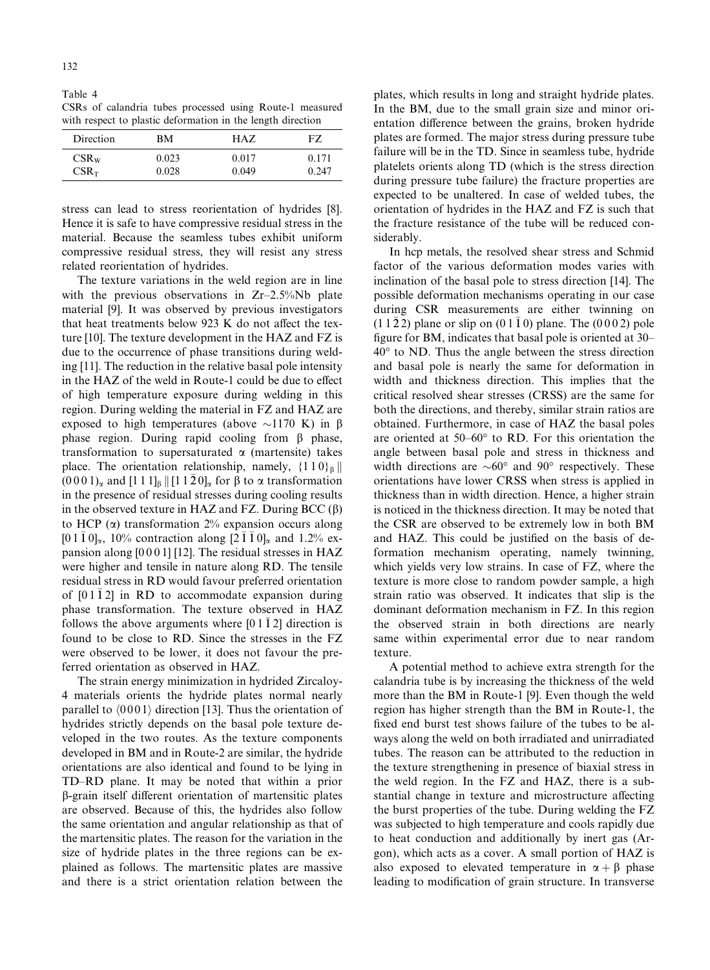Table 4 CSRs of calandria tubes processed using Route-1 measured with respect to plastic deformation in the length direction

| Direction | BМ    | HAZ.  | FZ.   |
|-----------|-------|-------|-------|
| $CSR_{W}$ | 0.023 | 0.017 | 0.171 |
| $CSR_T$   | 0.028 | 0.049 | 0.247 |

stress can lead to stress reorientation of hydrides [8]. Hence it is safe to have compressive residual stress in the material. Because the seamless tubes exhibit uniform compressive residual stress, they will resist any stress related reorientation of hydrides.

The texture variations in the weld region are in line with the previous observations in Zr-2.5%Nb plate material [9]. It was observed by previous investigators that heat treatments below 923 K do not affect the texture [10]. The texture development in the HAZ and FZ is due to the occurrence of phase transitions during welding [11]. The reduction in the relative basal pole intensity in the HAZ of the weld in Route-1 could be due to effect of high temperature exposure during welding in this region. During welding the material in FZ and HAZ are exposed to high temperatures (above  $\sim$ 1170 K) in  $\beta$ phase region. During rapid cooling from  $\beta$  phase, transformation to supersaturated  $\alpha$  (martensite) takes place. The orientation relationship, namely,  $\{110\}_{\beta}$  $(0001)$ <sub>a</sub> and  $[111]$ <sub> $\beta$ </sub>  $\left[$   $[11\overline{2}0]$ <sub>a</sub> for  $\beta$  to  $\alpha$  transformation in the presence of residual stresses during cooling results in the observed texture in HAZ and FZ. During BCC  $(\beta)$ to HCP  $(\alpha)$  transformation 2% expansion occurs along  $[0 1 \overline{1} 0]_{\alpha}$ , 10% contraction along  $[2 \overline{1} \overline{1} 0]_{\alpha}$  and 1.2% expansion along [0 0 0 1] [12]. The residual stresses in HAZ were higher and tensile in nature along RD. The tensile residual stress in RD would favour preferred orientation of  $[01\bar{1}2]$  in RD to accommodate expansion during phase transformation. The texture observed in HAZ follows the above arguments where  $[01\bar{1}2]$  direction is found to be close to RD. Since the stresses in the FZ were observed to be lower, it does not favour the preferred orientation as observed in HAZ.

The strain energy minimization in hydrided Zircaloy-4 materials orients the hydride plates normal nearly parallel to  $\langle 0001 \rangle$  direction [13]. Thus the orientation of hydrides strictly depends on the basal pole texture developed in the two routes. As the texture components developed in BM and in Route-2 are similar, the hydride orientations are also identical and found to be lying in TD–RD plane. It may be noted that within a prior b-grain itself different orientation of martensitic plates are observed. Because of this, the hydrides also follow the same orientation and angular relationship as that of the martensitic plates. The reason for the variation in the size of hydride plates in the three regions can be explained as follows. The martensitic plates are massive and there is a strict orientation relation between the

plates, which results in long and straight hydride plates. In the BM, due to the small grain size and minor orientation difference between the grains, broken hydride plates are formed. The major stress during pressure tube failure will be in the TD. Since in seamless tube, hydride platelets orients along TD (which is the stress direction during pressure tube failure) the fracture properties are expected to be unaltered. In case of welded tubes, the orientation of hydrides in the HAZ and FZ is such that the fracture resistance of the tube will be reduced considerably.

In hcp metals, the resolved shear stress and Schmid factor of the various deformation modes varies with inclination of the basal pole to stress direction [14]. The possible deformation mechanisms operating in our case during CSR measurements are either twinning on  $(11\bar{2}2)$  plane or slip on  $(01\bar{1}0)$  plane. The  $(0002)$  pole figure for BM, indicates that basal pole is oriented at 30–  $40^{\circ}$  to ND. Thus the angle between the stress direction and basal pole is nearly the same for deformation in width and thickness direction. This implies that the critical resolved shear stresses (CRSS) are the same for both the directions, and thereby, similar strain ratios are obtained. Furthermore, in case of HAZ the basal poles are oriented at  $50-60^\circ$  to RD. For this orientation the angle between basal pole and stress in thickness and width directions are  $\sim 60^{\circ}$  and  $90^{\circ}$  respectively. These orientations have lower CRSS when stress is applied in thickness than in width direction. Hence, a higher strain is noticed in the thickness direction. It may be noted that the CSRare observed to be extremely low in both BM and HAZ. This could be justified on the basis of deformation mechanism operating, namely twinning, which yields very low strains. In case of FZ, where the texture is more close to random powder sample, a high strain ratio was observed. It indicates that slip is the dominant deformation mechanism in FZ. In this region the observed strain in both directions are nearly same within experimental error due to near random texture.

A potential method to achieve extra strength for the calandria tube is by increasing the thickness of the weld more than the BM in Route-1 [9]. Even though the weld region has higher strength than the BM in Route-1, the fixed end burst test shows failure of the tubes to be always along the weld on both irradiated and unirradiated tubes. The reason can be attributed to the reduction in the texture strengthening in presence of biaxial stress in the weld region. In the FZ and HAZ, there is a substantial change in texture and microstructure affecting the burst properties of the tube. During welding the FZ was subjected to high temperature and cools rapidly due to heat conduction and additionally by inert gas (Argon), which acts as a cover. A small portion of HAZ is also exposed to elevated temperature in  $\alpha + \beta$  phase leading to modification of grain structure. In transverse